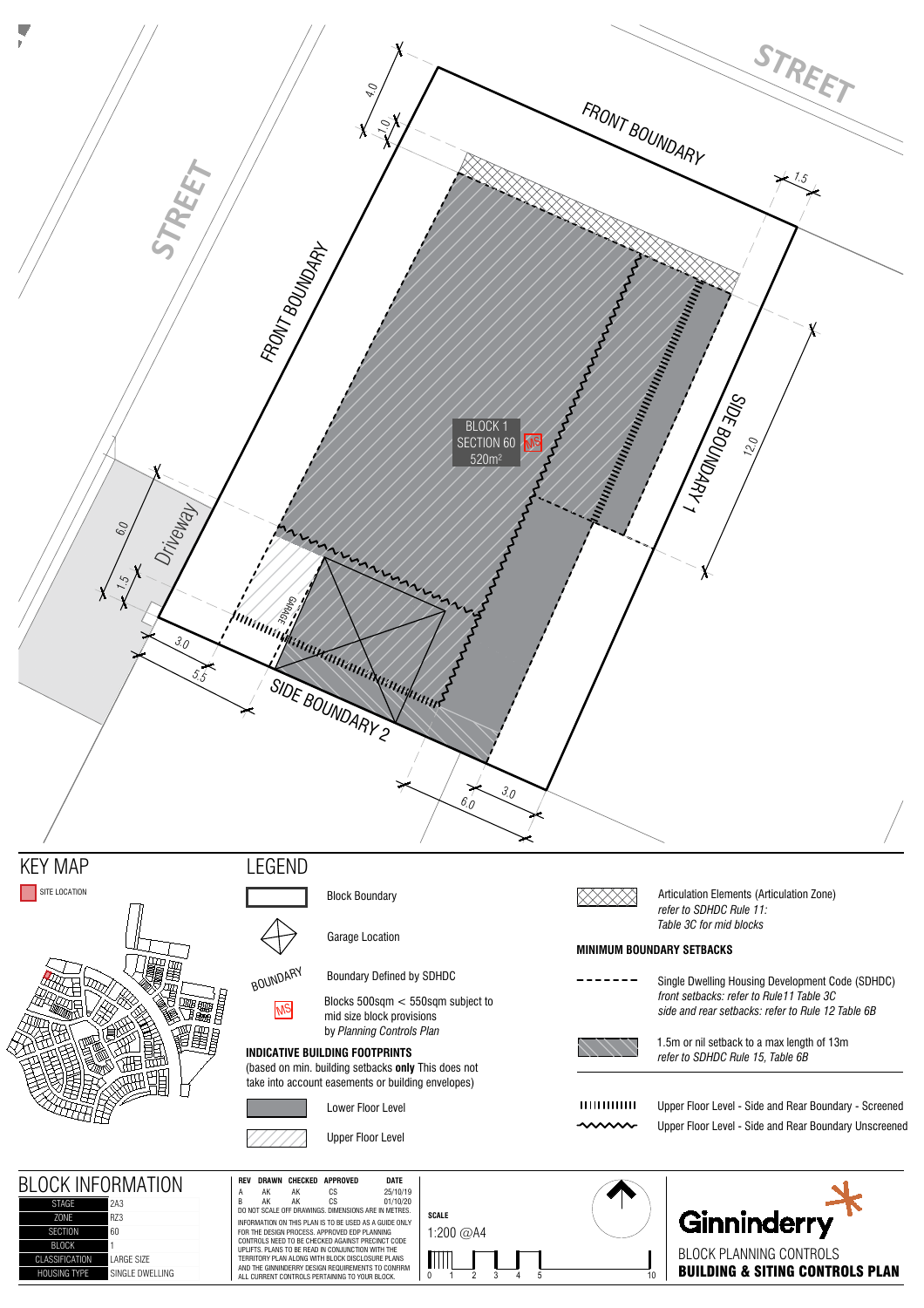